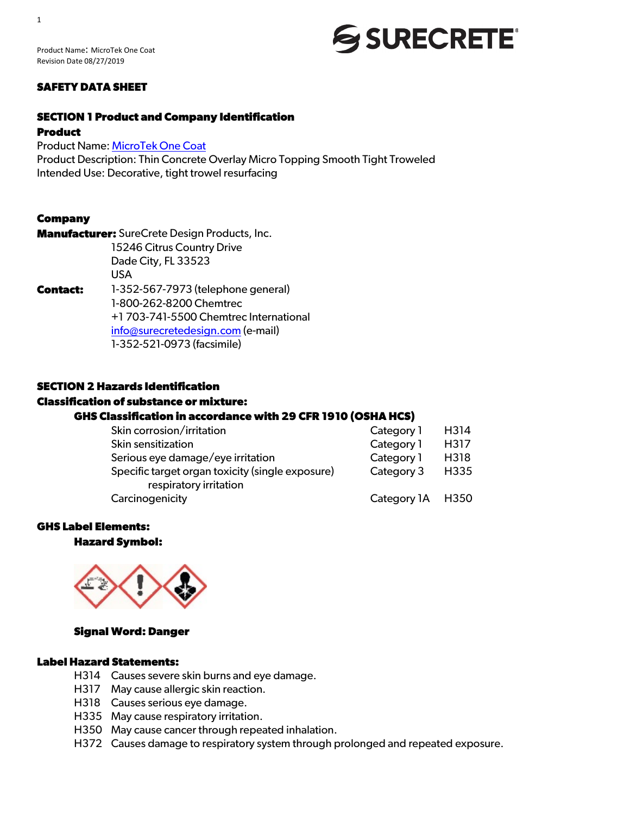#### **SAFETY DATA SHEET**

#### **SECTION 1 Product and Company Identification**

#### **Product**

Product Name: MicroTek One Coat

Product Description: Thin Concrete Overlay Micro Topping Smooth Tight Troweled Intended Use: Decorative, tight trowel resurfacing

#### **Company**

**Manufacturer:** SureCrete Design Products, Inc. 15246 Citrus Country Drive Dade City, FL 33523 USA

**Contact:** 1-352-567-7973 (telephone general) 1-800-262-8200 Chemtrec +1 703-741-5500 Chemtrec International info@surecretedesign.com (e-mail) 1-352-521-0973 (facsimile)

#### **SECTION 2 Hazards Identification**

#### **Classification of substance or mixture:**

#### **GHS Classification in accordance with 29 CFR 1910 (OSHA HCS)**

| Skin corrosion/irritation                        | Category 1       | H314 |
|--------------------------------------------------|------------------|------|
| Skin sensitization                               | Category 1       | H317 |
| Serious eye damage/eye irritation                | Category 1       | H318 |
| Specific target organ toxicity (single exposure) | Category 3       | H335 |
| respiratory irritation                           |                  |      |
| Carcinogenicity                                  | Category 1A H350 |      |

### **GHS Label Elements:**

#### **Hazard Symbol:**



#### **Signal Word: Danger**

#### **Label Hazard Statements:**

- H314 Causes severe skin burns and eye damage.
- H317 May cause allergic skin reaction.
- H318 Causes serious eye damage.
- H335 May cause respiratory irritation.
- H350 May cause cancer through repeated inhalation.
- H372 Causes damage to respiratory system through prolonged and repeated exposure.

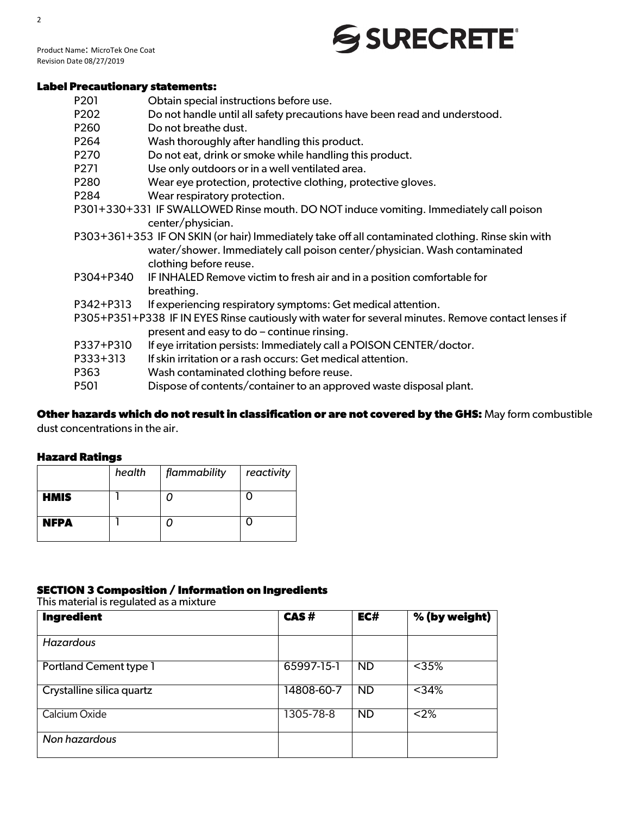Product Name: MicroTek One Coat Revision Date 08/27/2019

#### **Label Precautionary statements:**

- P201 Obtain special instructions before use.
- P202 Do not handle until all safety precautions have been read and understood.
- P260 Do not breathe dust.
- P264 Wash thoroughly after handling this product.
- P270 Do not eat, drink or smoke while handling this product.
- P271 Use only outdoors or in a well ventilated area.
- P280 Wear eye protection, protective clothing, protective gloves.
- P284 Wear respiratory protection.
- P301+330+331 IF SWALLOWED Rinse mouth. DO NOT induce vomiting. Immediately call poison center/physician.
- P303+361+353 IF ON SKIN (or hair) Immediately take off all contaminated clothing. Rinse skin with water/shower. Immediately call poison center/physician. Wash contaminated clothing before reuse.
- P304+P340 IF INHALED Remove victim to fresh air and in a position comfortable for breathing.
- P342+P313 If experiencing respiratory symptoms: Get medical attention.
- P305+P351+P338 IF IN EYES Rinse cautiously with water for several minutes. Remove contact lenses if present and easy to do – continue rinsing.
- P337+P310 If eye irritation persists: Immediately call a POISON CENTER/doctor.
- P333+313 If skin irritation or a rash occurs: Get medical attention.
- P363 Wash contaminated clothing before reuse.
- P501 Dispose of contents/container to an approved waste disposal plant.

### **Other hazards which do not result in classification or are not covered by the GHS:** May form combustible

dust concentrations in the air.

#### **Hazard Ratings**

|             | health | flammability | reactivity |
|-------------|--------|--------------|------------|
| <b>HMIS</b> |        |              |            |
| <b>NFPA</b> |        |              |            |

#### **SECTION 3 Composition / Information on Ingredients**

This material is regulated as a mixture

| <b>Ingredient</b>             | CAS#       | EC#       | % (by weight) |
|-------------------------------|------------|-----------|---------------|
| <b>Hazardous</b>              |            |           |               |
| <b>Portland Cement type 1</b> | 65997-15-1 | <b>ND</b> | $35%$         |
| Crystalline silica quartz     | 14808-60-7 | <b>ND</b> | $<$ 34%       |
| Calcium Oxide                 | 1305-78-8  | <b>ND</b> | $<$ 2%        |
| Non hazardous                 |            |           |               |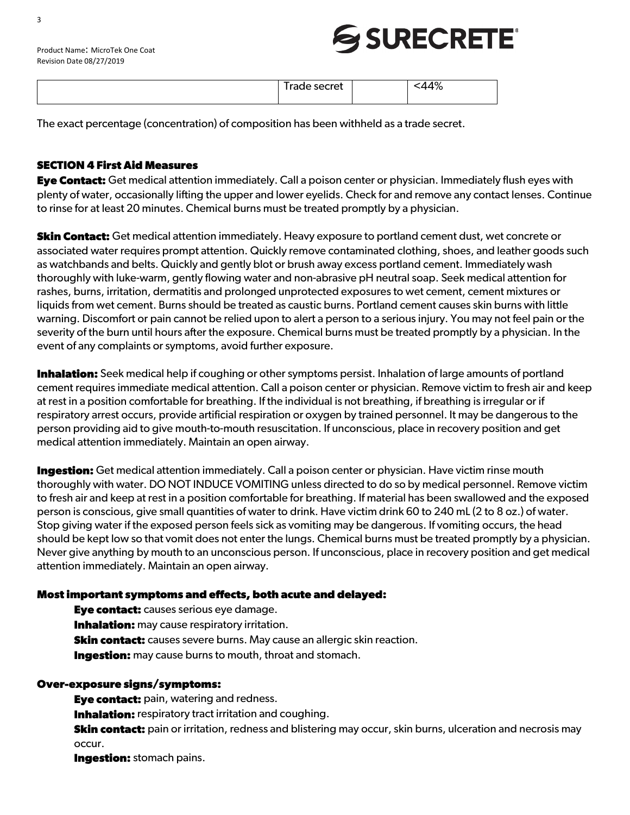| $\Lambda$ O<br>_<br>secret<br>r |
|---------------------------------|
| . . aue -<br>70                 |
|                                 |
|                                 |

The exact percentage (concentration) of composition has been withheld as a trade secret.

#### **SECTION 4 First Aid Measures**

**Eye Contact:** Get medical attention immediately. Call a poison center or physician. Immediately flush eyes with plenty of water, occasionally lifting the upper and lower eyelids. Check for and remove any contact lenses. Continue to rinse for at least 20 minutes. Chemical burns must be treated promptly by a physician.

**Skin Contact:** Get medical attention immediately. Heavy exposure to portland cement dust, wet concrete or associated water requires prompt attention. Quickly remove contaminated clothing, shoes, and leather goods such as watchbands and belts. Quickly and gently blot or brush away excess portland cement. Immediately wash thoroughly with luke-warm, gently flowing water and non-abrasive pH neutral soap. Seek medical attention for rashes, burns, irritation, dermatitis and prolonged unprotected exposures to wet cement, cement mixtures or liquids from wet cement. Burns should be treated as caustic burns. Portland cement causes skin burns with little warning. Discomfort or pain cannot be relied upon to alert a person to a serious injury. You may not feel pain or the severity of the burn until hours after the exposure. Chemical burns must be treated promptly by a physician. In the event of any complaints or symptoms, avoid further exposure.

**Inhalation:** Seek medical help if coughing or other symptoms persist. Inhalation of large amounts of portland cement requires immediate medical attention. Call a poison center or physician. Remove victim to fresh air and keep at rest in a position comfortable for breathing. If the individual is not breathing, if breathing is irregular or if respiratory arrest occurs, provide artificial respiration or oxygen by trained personnel. It may be dangerous to the person providing aid to give mouth-to-mouth resuscitation. If unconscious, place in recovery position and get medical attention immediately. Maintain an open airway.

**Ingestion:** Get medical attention immediately. Call a poison center or physician. Have victim rinse mouth thoroughly with water. DO NOT INDUCE VOMITING unless directed to do so by medical personnel. Remove victim to fresh air and keep at rest in a position comfortable for breathing. If material has been swallowed and the exposed person is conscious, give small quantities of water to drink. Have victim drink 60 to 240 mL (2 to 8 oz.) of water. Stop giving water if the exposed person feels sick as vomiting may be dangerous. If vomiting occurs, the head should be kept low so that vomit does not enter the lungs. Chemical burns must be treated promptly by a physician. Never give anything by mouth to an unconscious person. If unconscious, place in recovery position and get medical attention immediately. Maintain an open airway.

#### **Most important symptoms and effects, both acute and delayed:**

**Eye contact:** causes serious eye damage. **Inhalation:** may cause respiratory irritation. **Skin contact:** causes severe burns. May cause an allergic skin reaction. **Ingestion:** may cause burns to mouth, throat and stomach.

#### **Over-exposure signs/symptoms:**

**Eye contact:** pain, watering and redness.

**Inhalation:** respiratory tract irritation and coughing.

**Skin contact:** pain or irritation, redness and blistering may occur, skin burns, ulceration and necrosis may occur.

**Ingestion:** stomach pains.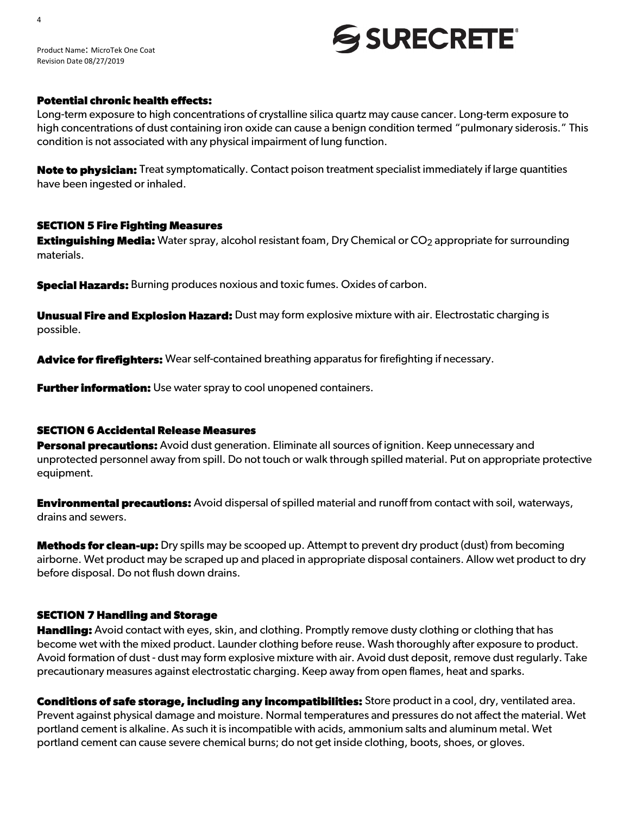Product Name: MicroTek One Coat Revision Date 08/27/2019

#### **Potential chronic health effects:**

Long-term exposure to high concentrations of crystalline silica quartz may cause cancer. Long-term exposure to high concentrations of dust containing iron oxide can cause a benign condition termed "pulmonary siderosis." This condition is not associated with any physical impairment of lung function.

**Note to physician:** Treat symptomatically. Contact poison treatment specialist immediately if large quantities have been ingested or inhaled.

#### **SECTION 5 Fire Fighting Measures**

**Extinguishing Media:** Water spray, alcohol resistant foam, Dry Chemical or CO<sub>2</sub> appropriate for surrounding materials.

**Special Hazards:** Burning produces noxious and toxic fumes. Oxides of carbon.

**Unusual Fire and Explosion Hazard:** Dust may form explosive mixture with air. Electrostatic charging is possible.

**Advice for firefighters:** Wear self-contained breathing apparatus for firefighting if necessary.

**Further information:** Use water spray to cool unopened containers.

#### **SECTION 6 Accidental Release Measures**

**Personal precautions:** Avoid dust generation. Eliminate all sources of ignition. Keep unnecessary and unprotected personnel away from spill. Do not touch or walk through spilled material. Put on appropriate protective equipment.

**Environmental precautions:** Avoid dispersal of spilled material and runoff from contact with soil, waterways, drains and sewers.

**Methods for clean-up:** Dry spills may be scooped up. Attempt to prevent dry product (dust) from becoming airborne. Wet product may be scraped up and placed in appropriate disposal containers. Allow wet product to dry before disposal. Do not flush down drains.

#### **SECTION 7 Handling and Storage**

**Handling:** Avoid contact with eyes, skin, and clothing. Promptly remove dusty clothing or clothing that has become wet with the mixed product. Launder clothing before reuse. Wash thoroughly after exposure to product. Avoid formation of dust - dust may form explosive mixture with air. Avoid dust deposit, remove dust regularly. Take precautionary measures against electrostatic charging. Keep away from open flames, heat and sparks.

**Conditions of safe storage, including any incompatibilities:** Store product in a cool, dry, ventilated area. Prevent against physical damage and moisture. Normal temperatures and pressures do not affect the material. Wet portland cement is alkaline. As such it is incompatible with acids, ammonium salts and aluminum metal. Wet portland cement can cause severe chemical burns; do not get inside clothing, boots, shoes, or gloves.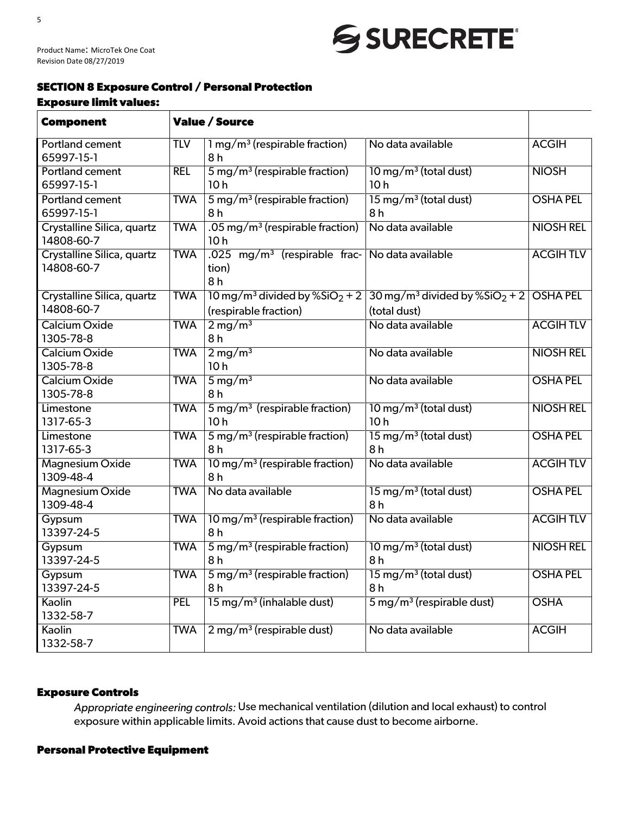Product Name: MicroTek One Coat Revision Date 08/27/2019

#### **SECTION 8 Exposure Control / Personal Protection Exposure limit values:**

| <b>Component</b>                         |            | <b>Value / Source</b>                                       |                                                             |                  |
|------------------------------------------|------------|-------------------------------------------------------------|-------------------------------------------------------------|------------------|
|                                          |            |                                                             |                                                             |                  |
| <b>Portland cement</b>                   | <b>TLV</b> | $1 \,\mathrm{mg/m^3}$ (respirable fraction)                 | No data available                                           | <b>ACGIH</b>     |
| 65997-15-1                               |            | 8 h                                                         |                                                             |                  |
| <b>Portland cement</b>                   | <b>REL</b> | $5 \,\mathrm{mg/m^3}$ (respirable fraction)                 | $10 \,\mathrm{mg/m^3}$ (total dust)                         | <b>NIOSH</b>     |
| 65997-15-1                               |            | 10 <sub>h</sub>                                             | 10 <sub>h</sub>                                             |                  |
| Portland cement                          | <b>TWA</b> | $5 \,\mathrm{mg/m^3}$ (respirable fraction)                 | $15 \,\mathrm{mg/m^3}$ (total dust)                         | <b>OSHA PEL</b>  |
| 65997-15-1<br>Crystalline Silica, quartz | <b>TWA</b> | 8 h<br>.05 mg/m <sup>3</sup> (respirable fraction)          | 8 <sub>h</sub><br>No data available                         | <b>NIOSH REL</b> |
| 14808-60-7                               |            | 10 <sub>h</sub>                                             |                                                             |                  |
| Crystalline Silica, quartz               | <b>TWA</b> | $.025$ mg/m <sup>3</sup> (respirable frac-                  | No data available                                           | <b>ACGIHTLV</b>  |
| 14808-60-7                               |            | tion)                                                       |                                                             |                  |
|                                          |            | 8 <sub>h</sub>                                              |                                                             |                  |
| Crystalline Silica, quartz               | <b>TWA</b> | $10 \,\mathrm{mg/m^3}$ divided by $\%$ SiO <sub>2</sub> + 2 | $30 \,\mathrm{mg/m^3}$ divided by $\%$ SiO <sub>2</sub> + 2 | <b>OSHA PEL</b>  |
| 14808-60-7                               |            | (respirable fraction)                                       | (total dust)                                                |                  |
| <b>Calcium Oxide</b>                     | <b>TWA</b> | $2 \,\mathrm{mg/m^3}$                                       | No data available                                           | <b>ACGIHTLV</b>  |
| 1305-78-8                                |            | 8 <sub>h</sub>                                              |                                                             |                  |
| Calcium Oxide                            | <b>TWA</b> | $2 \,\mathrm{mg/m^3}$                                       | No data available                                           | <b>NIOSH REL</b> |
| 1305-78-8                                |            | 10 <sub>h</sub>                                             |                                                             |                  |
| <b>Calcium Oxide</b>                     | <b>TWA</b> | $5 \,\mathrm{mg/m^3}$                                       | No data available                                           | <b>OSHA PEL</b>  |
| 1305-78-8                                |            | 8 <sub>h</sub>                                              |                                                             |                  |
| Limestone                                | <b>TWA</b> | $5 \,\mathrm{mg/m^3}$ (respirable fraction)                 | $10 \,\mathrm{mg/m^3}$ (total dust)                         | <b>NIOSH REL</b> |
| 1317-65-3                                |            | 10 <sub>h</sub>                                             | 10 <sub>h</sub>                                             |                  |
| Limestone                                | <b>TWA</b> | $5 \,\mathrm{mg/m^3}$ (respirable fraction)                 | $15 \,\mathrm{mg/m^3}$ (total dust)                         | <b>OSHA PEL</b>  |
| 1317-65-3                                |            | 8h                                                          | 8h                                                          |                  |
| Magnesium Oxide                          | <b>TWA</b> | $10 \,\mathrm{mg/m^3}$ (respirable fraction)                | No data available                                           | <b>ACGIHTLV</b>  |
| 1309-48-4                                |            | 8 <sub>h</sub>                                              |                                                             |                  |
| <b>Magnesium Oxide</b>                   | <b>TWA</b> | No data available                                           | $15 \,\mathrm{mg/m^3}$ (total dust)                         | <b>OSHA PEL</b>  |
| 1309-48-4                                |            |                                                             | 8h                                                          |                  |
| Gypsum                                   | <b>TWA</b> | $10 \,\mathrm{mg/m^3}$ (respirable fraction)                | No data available                                           | <b>ACGIHTLV</b>  |
| 13397-24-5                               |            | 8h                                                          |                                                             |                  |
| Gypsum                                   | <b>TWA</b> | $5 \,\mathrm{mg/m^3}$ (respirable fraction)                 | $10 \,\mathrm{mg/m^3}$ (total dust)                         | <b>NIOSH REL</b> |
| 13397-24-5                               |            | 8 <sub>h</sub>                                              | 8 <sub>h</sub>                                              |                  |
| Gypsum                                   | <b>TWA</b> | $5 \,\mathrm{mg/m^3}$ (respirable fraction)                 | $15 \,\mathrm{mg/m^3}$ (total dust)                         | <b>OSHA PEL</b>  |
| 13397-24-5                               |            | 8h                                                          | 8h                                                          |                  |
| Kaolin                                   | <b>PEL</b> | $15 \,\mathrm{mg/m^3}$ (inhalable dust)                     | $5 \,\mathrm{mg/m^3}$ (respirable dust)                     | <b>OSHA</b>      |
| 1332-58-7                                |            |                                                             |                                                             |                  |
| Kaolin                                   | <b>TWA</b> | $2 \,\mathrm{mg/m^3}$ (respirable dust)                     | No data available                                           | <b>ACGIH</b>     |
| 1332-58-7                                |            |                                                             |                                                             |                  |

#### **Exposure Controls**

*Appropriate engineering controls:* Use mechanical ventilation (dilution and local exhaust) to control exposure within applicable limits. Avoid actions that cause dust to become airborne.

#### **Personal Protective Equipment**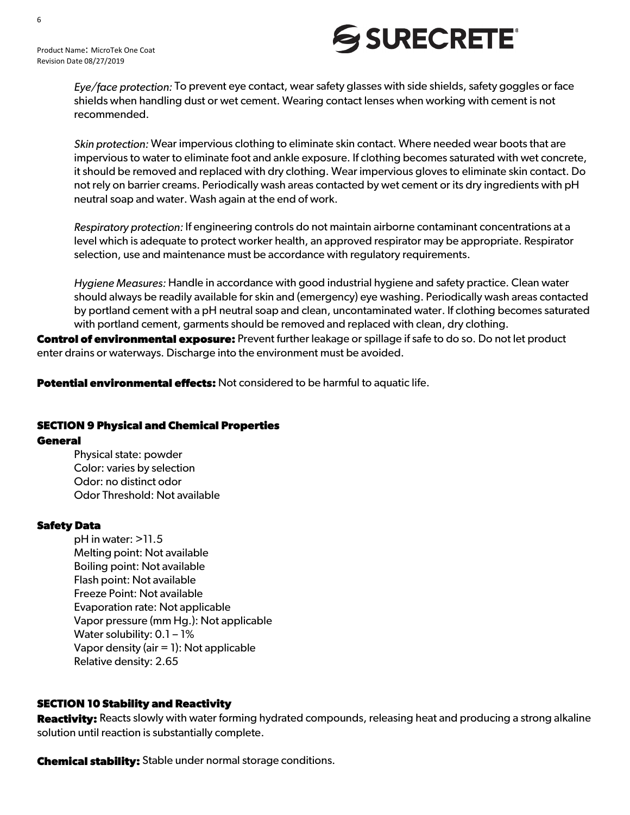

*Eye/face protection:* To prevent eye contact, wear safety glasses with side shields, safety goggles or face shields when handling dust or wet cement. Wearing contact lenses when working with cement is not recommended.

*Skin protection:* Wear impervious clothing to eliminate skin contact. Where needed wear boots that are impervious to water to eliminate foot and ankle exposure. If clothing becomes saturated with wet concrete, it should be removed and replaced with dry clothing. Wear impervious gloves to eliminate skin contact. Do not rely on barrier creams. Periodically wash areas contacted by wet cement or its dry ingredients with pH neutral soap and water. Wash again at the end of work.

*Respiratory protection:* If engineering controls do not maintain airborne contaminant concentrations at a level which is adequate to protect worker health, an approved respirator may be appropriate. Respirator selection, use and maintenance must be accordance with regulatory requirements.

*Hygiene Measures:* Handle in accordance with good industrial hygiene and safety practice. Clean water should always be readily available for skin and (emergency) eye washing. Periodically wash areas contacted by portland cement with a pH neutral soap and clean, uncontaminated water. If clothing becomes saturated with portland cement, garments should be removed and replaced with clean, dry clothing.

**Control of environmental exposure:** Prevent further leakage or spillage if safe to do so. Do not let product enter drains or waterways. Discharge into the environment must be avoided.

**Potential environmental effects:** Not considered to be harmful to aquatic life.

#### **SECTION 9 Physical and Chemical Properties General**

Physical state: powder Color: varies by selection Odor: no distinct odor Odor Threshold: Not available

#### **Safety Data**

pH in water: >11.5 Melting point: Not available Boiling point: Not available Flash point: Not available Freeze Point: Not available Evaporation rate: Not applicable Vapor pressure (mm Hg.): Not applicable Water solubility: 0.1 - 1% Vapor density (air = 1): Not applicable Relative density: 2.65

#### **SECTION 10 Stability and Reactivity**

**Reactivity:** Reacts slowly with water forming hydrated compounds, releasing heat and producing a strong alkaline solution until reaction is substantially complete.

**Chemical stability:** Stable under normal storage conditions.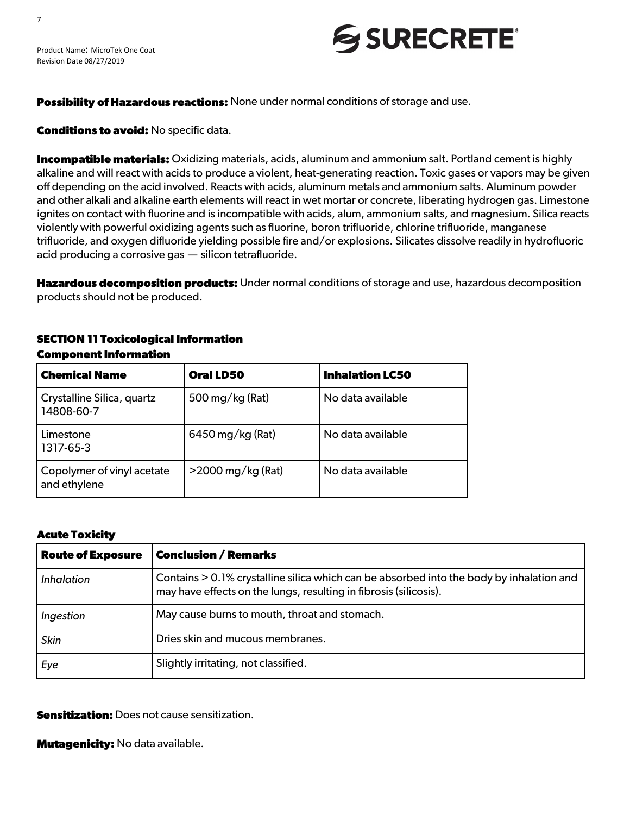

#### **Possibility of Hazardous reactions:** None under normal conditions of storage and use.

**Conditions to avoid:** No specific data.

**Incompatible materials:** Oxidizing materials, acids, aluminum and ammonium salt. Portland cement is highly alkaline and will react with acids to produce a violent, heat-generating reaction. Toxic gases or vapors may be given off depending on the acid involved. Reacts with acids, aluminum metals and ammonium salts. Aluminum powder and other alkali and alkaline earth elements will react in wet mortar or concrete, liberating hydrogen gas. Limestone ignites on contact with fluorine and is incompatible with acids, alum, ammonium salts, and magnesium. Silica reacts violently with powerful oxidizing agents such as fluorine, boron trifluoride, chlorine trifluoride, manganese trifluoride, and oxygen difluoride yielding possible fire and/or explosions. Silicates dissolve readily in hydrofluoric acid producing a corrosive gas — silicon tetrafluoride.

**Hazardous decomposition products:** Under normal conditions of storage and use, hazardous decomposition products should not be produced.

#### **SECTION 11 Toxicological Information Component Information**

| <b>Chemical Name</b>                       | <b>Oral LD50</b>     | <b>Inhalation LC50</b> |
|--------------------------------------------|----------------------|------------------------|
| Crystalline Silica, quartz<br>14808-60-7   | 500 mg/kg (Rat)      | No data available      |
| Limestone<br>1317-65-3                     | $6450$ mg/kg (Rat)   | No data available      |
| Copolymer of vinyl acetate<br>and ethylene | $>$ 2000 mg/kg (Rat) | No data available      |

#### **Acute Toxicity**

| <b>Route of Exposure</b> | <b>Conclusion / Remarks</b>                                                                                                                                   |
|--------------------------|---------------------------------------------------------------------------------------------------------------------------------------------------------------|
| <i>Inhalation</i>        | Contains > 0.1% crystalline silica which can be absorbed into the body by inhalation and<br>may have effects on the lungs, resulting in fibrosis (silicosis). |
| Ingestion                | May cause burns to mouth, throat and stomach.                                                                                                                 |
| <b>Skin</b>              | Dries skin and mucous membranes.                                                                                                                              |
| Eye                      | Slightly irritating, not classified.                                                                                                                          |

**Sensitization:** Does not cause sensitization.

**Mutagenicity:** No data available.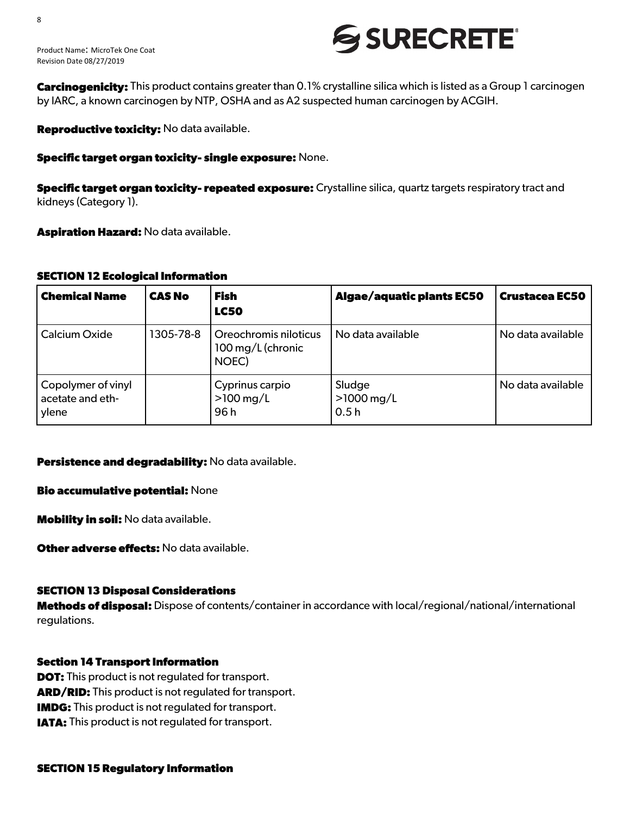

**Carcinogenicity:** This product contains greater than 0.1% crystalline silica which is listed as a Group 1 carcinogen by IARC, a known carcinogen by NTP, OSHA and as A2 suspected human carcinogen by ACGIH.

**Reproductive toxicity:** No data available.

**Specific target organ toxicity- single exposure:** None.

**Specific target organ toxicity- repeated exposure:** Crystalline silica, quartz targets respiratory tract and kidneys (Category 1).

**Aspiration Hazard:** No data available.

#### **SECTION 12 Ecological Information**

| <b>Chemical Name</b>                            | <b>CAS No</b> | <b>Fish</b><br><b>LC50</b>                          | <b>Algae/aquatic plants EC50</b>          | <b>Crustacea EC50</b> |
|-------------------------------------------------|---------------|-----------------------------------------------------|-------------------------------------------|-----------------------|
| Calcium Oxide                                   | 1305-78-8     | Oreochromis niloticus<br>100 mg/L (chronic<br>NOEC) | No data available                         | No data available     |
| Copolymer of vinyl<br>acetate and eth-<br>ylene |               | Cyprinus carpio<br>$>100$ mg/L<br>96 h              | Sludge<br>$>1000 \,\mathrm{mg/L}$<br>0.5h | No data available     |

#### **Persistence and degradability:** No data available.

**Bio accumulative potential:** None

**Mobility in soil:** No data available.

**Other adverse effects:** No data available.

#### **SECTION 13 Disposal Considerations**

**Methods of disposal:** Dispose of contents/container in accordance with local/regional/national/international regulations.

#### **Section 14 Transport Information**

**DOT:** This product is not regulated for transport. **ARD/RID:** This product is not regulated for transport. **IMDG:** This product is not regulated for transport. **IATA:** This product is not regulated for transport.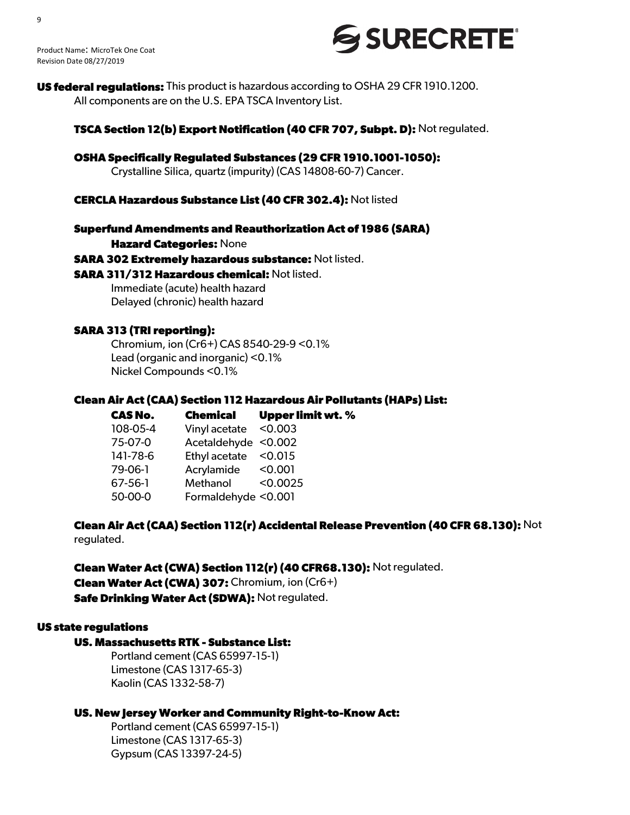

**US federal regulations:** This product is hazardous according to OSHA 29 CFR 1910.1200. All components are on the U.S. EPA TSCA Inventory List.

**TSCA Section 12(b) Export Notification (40 CFR 707, Subpt. D):** Not regulated.

**OSHA Specifically Regulated Substances (29 CFR 1910.1001-1050):** Crystalline Silica, quartz (impurity) (CAS 14808-60-7) Cancer.

#### **CERCLA Hazardous Substance List (40 CFR 302.4):** Not listed

**Superfund Amendments and Reauthorization Act of 1986 (SARA)**

**Hazard Categories:** None

**SARA 302 Extremely hazardous substance:** Not listed.

**SARA 311/312 Hazardous chemical:** Not listed.

Immediate (acute) health hazard Delayed (chronic) health hazard

#### **SARA 313 (TRI reporting):**

Chromium, ion (Cr6+) CAS 8540-29-9 <0.1% Lead (organic and inorganic) <0.1% Nickel Compounds <0.1%

#### **Clean Air Act (CAA) Section 112 Hazardous Air Pollutants (HAPs) List:**

| <b>Chemical</b>      | <b>Upper limit wt. %</b> |
|----------------------|--------------------------|
| Vinyl acetate        | < 0.003                  |
| Acetaldehyde <0.002  |                          |
| Ethyl acetate        | < 0.015                  |
| Acrylamide <0.001    |                          |
| Methanol             | < 0.0025                 |
| Formaldehyde < 0.001 |                          |
|                      |                          |

**Clean Air Act (CAA) Section 112(r) Accidental Release Prevention (40 CFR 68.130):** Not regulated.

**Clean Water Act (CWA) Section 112(r) (40 CFR68.130):** Not regulated. **Clean Water Act (CWA) 307:** Chromium, ion (Cr6+) **Safe Drinking Water Act (SDWA): Not regulated.** 

#### **US state regulations**

#### **US. Massachusetts RTK - Substance List:**

Portland cement (CAS 65997-15-1) Limestone (CAS 1317-65-3) Kaolin (CAS 1332-58-7)

#### **US. New Jersey Worker and Community Right-to-Know Act:**

Portland cement (CAS 65997-15-1) Limestone (CAS 1317-65-3) Gypsum (CAS 13397-24-5)